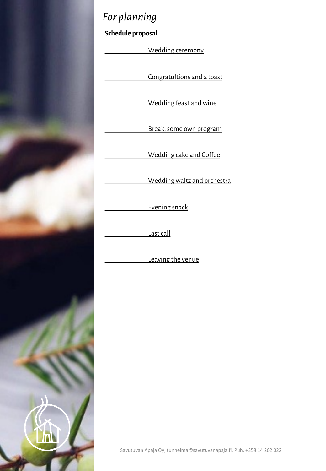

# *For planning*

**Schedule proposal**

Wedding ceremony

Congratultions and a toast

Wedding feast and wine

Break, some own program

Wedding cake and Coffee

Wedding waltz and orchestra

Evening snack

Last call

Leaving the venue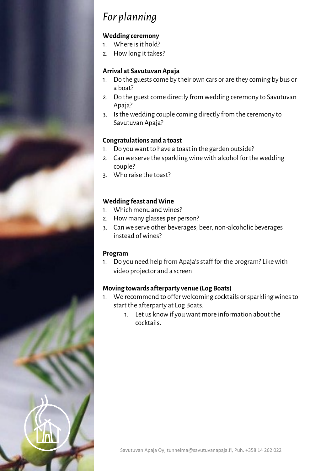## *For planning*

#### **Wedding ceremony**

- 1. Where is it hold?
- 2. How long it takes?

### **Arrival at Savutuvan Apaja**

- 1. Do the guests come by their own cars or are they coming by bus or a boat?
- 2. Do the guest come directly from wedding ceremony to Savutuvan Apaja?
- 3. Is the wedding couple coming directly from the ceremony to Savutuvan Apaja?

#### **Congratulations and a toast**

- 1. Do you want to have a toast in the garden outside?
- 2. Can we serve the sparkling wine with alcohol for the wedding couple?
- 3. Who raise the toast?

### **Wedding feast and Wine**

- 1. Which menu and wines?
- 2. How many glasses per person?
- 3. Can we serve other beverages; beer, non-alcoholic beverages instead of wines?

#### **Program**

1. Do you need help from Apaja'sstaff for the program? Like with video projector and a screen

#### **Moving towards afterparty venue (Log Boats)**

- 1. We recommend to offer welcoming cocktails or sparkling wines to start the afterparty at Log Boats.
	- 1. Let us know if you want more information about the cocktails.